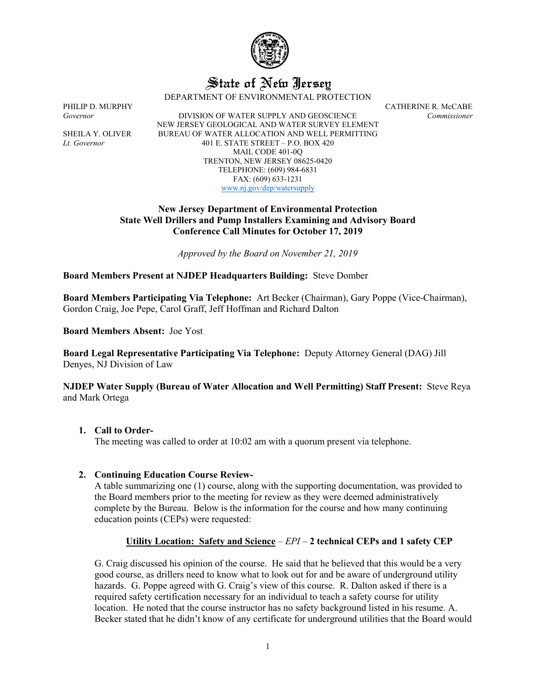

# State of New Jersey

DEPARTMENT OF ENVIRONMENTAL PROTECTION

PHILIP D. MURPHY CATHERINE R. McCABE *Governor* DIVISION OF WATER SUPPLY AND GEOSCIENCE *Commissioner* NEW JERSEY GEOLOGICAL AND WATER SURVEY ELEMENT SHEILA Y. OLIVER BUREAU OF WATER ALLOCATION AND WELL PERMITTING *Lt. Governor* 401 E. STATE STREET – P.O. BOX 420 MAIL CODE 401-0Q TRENTON, NEW JERSEY 08625-0420 TELEPHONE: (609) 984-6831 FAX: (609) 633-1231 [www.nj.gov/dep/watersupply](http://www.nj.gov/dep/watersupply)

# **New Jersey Department of Environmental Protection State Well Drillers and Pump Installers Examining and Advisory Board Conference Call Minutes for October 17, 2019**

*Approved by the Board on November 21, 2019*

# **Board Members Present at NJDEP Headquarters Building:** Steve Domber

**Board Members Participating Via Telephone:** Art Becker (Chairman), Gary Poppe (Vice-Chairman), Gordon Craig, Joe Pepe, Carol Graff, Jeff Hoffman and Richard Dalton

**Board Members Absent:** Joe Yost

**Board Legal Representative Participating Via Telephone:** Deputy Attorney General (DAG) Jill Denyes, NJ Division of Law

# **NJDEP Water Supply (Bureau of Water Allocation and Well Permitting) Staff Present:** Steve Reya and Mark Ortega

# **1. Call to Order-**

The meeting was called to order at 10:02 am with a quorum present via telephone.

# **2. Continuing Education Course Review-**

A table summarizing one (1) course, along with the supporting documentation, was provided to the Board members prior to the meeting for review as they were deemed administratively complete by the Bureau. Below is the information for the course and how many continuing education points (CEPs) were requested:

# **Utility Location: Safety and Science** – *EPI* – **2 technical CEPs and 1 safety CEP**

G. Craig discussed his opinion of the course. He said that he believed that this would be a very good course, as drillers need to know what to look out for and be aware of underground utility hazards. G. Poppe agreed with G. Craig's view of this course. R. Dalton asked if there is a required safety certification necessary for an individual to teach a safety course for utility location. He noted that the course instructor has no safety background listed in his resume. A. Becker stated that he didn't know of any certificate for underground utilities that the Board would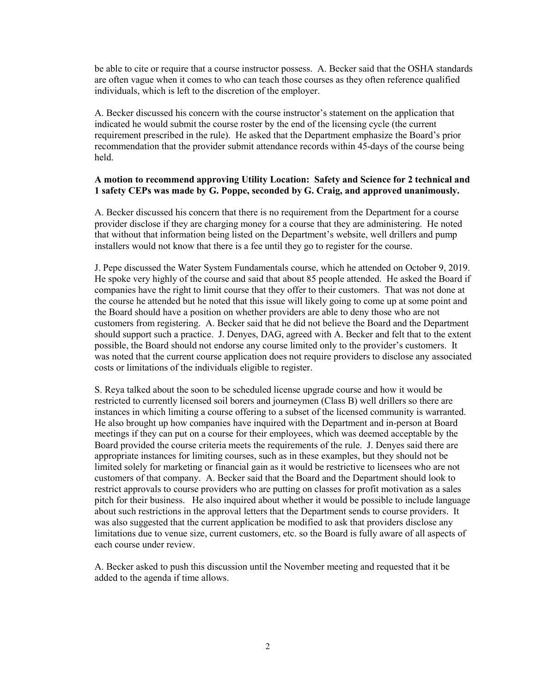be able to cite or require that a course instructor possess. A. Becker said that the OSHA standards are often vague when it comes to who can teach those courses as they often reference qualified individuals, which is left to the discretion of the employer.

A. Becker discussed his concern with the course instructor's statement on the application that indicated he would submit the course roster by the end of the licensing cycle (the current requirement prescribed in the rule). He asked that the Department emphasize the Board's prior recommendation that the provider submit attendance records within 45-days of the course being held.

## **A motion to recommend approving Utility Location: Safety and Science for 2 technical and 1 safety CEPs was made by G. Poppe, seconded by G. Craig, and approved unanimously.**

A. Becker discussed his concern that there is no requirement from the Department for a course provider disclose if they are charging money for a course that they are administering. He noted that without that information being listed on the Department's website, well drillers and pump installers would not know that there is a fee until they go to register for the course.

J. Pepe discussed the Water System Fundamentals course, which he attended on October 9, 2019. He spoke very highly of the course and said that about 85 people attended. He asked the Board if companies have the right to limit course that they offer to their customers. That was not done at the course he attended but he noted that this issue will likely going to come up at some point and the Board should have a position on whether providers are able to deny those who are not customers from registering. A. Becker said that he did not believe the Board and the Department should support such a practice. J. Denyes, DAG, agreed with A. Becker and felt that to the extent possible, the Board should not endorse any course limited only to the provider's customers. It was noted that the current course application does not require providers to disclose any associated costs or limitations of the individuals eligible to register.

S. Reya talked about the soon to be scheduled license upgrade course and how it would be restricted to currently licensed soil borers and journeymen (Class B) well drillers so there are instances in which limiting a course offering to a subset of the licensed community is warranted. He also brought up how companies have inquired with the Department and in-person at Board meetings if they can put on a course for their employees, which was deemed acceptable by the Board provided the course criteria meets the requirements of the rule. J. Denyes said there are appropriate instances for limiting courses, such as in these examples, but they should not be limited solely for marketing or financial gain as it would be restrictive to licensees who are not customers of that company. A. Becker said that the Board and the Department should look to restrict approvals to course providers who are putting on classes for profit motivation as a sales pitch for their business. He also inquired about whether it would be possible to include language about such restrictions in the approval letters that the Department sends to course providers. It was also suggested that the current application be modified to ask that providers disclose any limitations due to venue size, current customers, etc. so the Board is fully aware of all aspects of each course under review.

A. Becker asked to push this discussion until the November meeting and requested that it be added to the agenda if time allows.